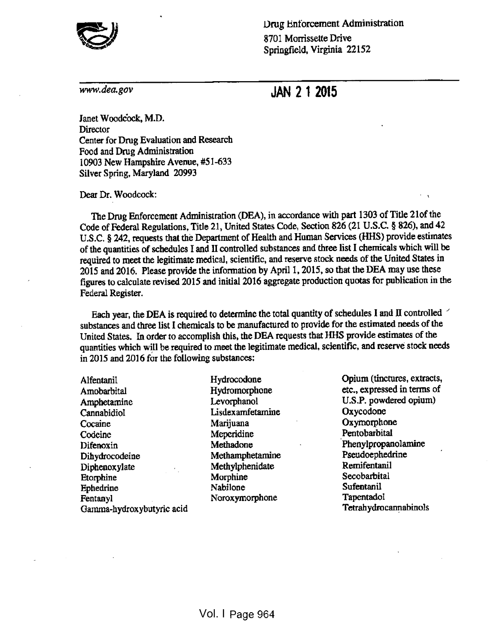

Drug Enforcement Administration 8701 Momssette Drive Springfield, Virginia 22152

## www.dea.gov JAN 2 1 2015

Janet Woodcock, M.D. **Director** Center for Drug Evaluation and Research Food and Drug Administration 10903 New Hampshire Avenue, #51-633 Silver Spring, Maryland 20993

Dear Dr. Woodcock:

The Drug Enforcement Administration (DEA), in accordance with part <sup>1303</sup> of Title <sup>21</sup>of the Code of Federal Regulations, Title 21, United States Code, Section <sup>826</sup> (21 U.S.C. § 826), and <sup>42</sup> U.S.C. § 242, requests that the Department of Health and Human Services (HHS) provide estimates of the quantities of schedules <sup>I</sup> and II controlled substances and three list <sup>I</sup> chemicals which will be required to meet the legitimate medical, scientific, and reserve stock needs of the United States in <sup>2015</sup> and 2016. Please provide the information by April 1, 2015, so that the DEA may use these figures to calculate revised <sup>2015</sup> and initial <sup>2016</sup> aggregate production quotas for publication in the Federal Register.

Each year, the DEA is required to determine the total quantity of schedules I and II controlled substances and three list I chemicals to be manufactured to provide for the estimated needs of the United States. In order to accomplish this, the DEA requests that HHS provide estimates of the quantities which will be required to meet the legitimate medical, scientific, and reserve stock needs in 2015 and 2016 for the following substances;

Alfentanil Amobarbital Amphetamine Cannabidiol **Cocaine** Codeine Difenoxin Dihydrocodeine Diphenoxylate Etorphine Ephedrine Fentanyl Gamma-hydroxybutyric acid Hydrocodone Hydromorphone Levorphanol Lisdexamfetamine Marijuana Meperidine Methadone Methamphetamine Methylphenidate **Morphine** Nabilone Noroxymorphone

Opium (tinctures, extracts, etc., expressed in terms of U.S.P. powdered opium) Oxycodone **Oxymorphone** Pentobarbital Phenylpropanolamine Pseudoephedrine Remifentanil **Secobarbital** Sufentanil Tapentadol Tetrahydrocannabinols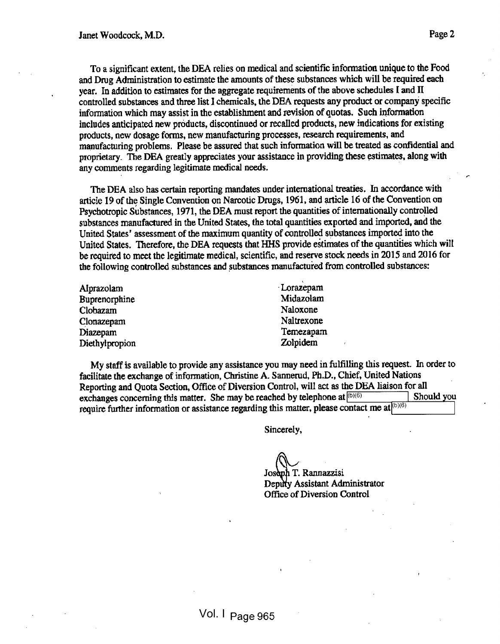To <sup>a</sup> significant extent, the DEA relies on medical and scientific information unique to the Food and Drug Administration to estimate the amounts of these substances which will be required each year. In addition to estimates for the aggregate requirements of the above schedules I and II controlled substances and three list 1 chemicals, the DEA requests any product or company specific information which may assist in the establishment and revision of quotas. Such information includes anticipated new products, discontinued or recalled products, new indications for existing products, new dosage forms, new manufacturing processes, research requirements, and manufacturing problems. Please be assured that such information will be treated as confidential and proprietary. The DEA greatly appreciates your assistance in providing these estimates, along with any comments regarding legitimate medical needs.

The DEA also has certain reporting mandates under international treaties. In accordance with article <sup>19</sup> of the Single Convention on Narcotic Drugs, 1961, and article <sup>16</sup> of the Convention on Psychotropic Substances, 1971, the DEA must report the quantities of internationally controlled substances manufactured in the United States, the total quantities exported and imported, and the United States' assessment of the maximum quantity of controlled substances imported into the United States. Therefore, the DEA requests that HHS provide estimates of the quantities which will be required to meet the legitimate medical, scientific, and reserve stock needs in <sup>2015</sup> and <sup>2016</sup> for the following controlled substances and substances manufactured from controlled substances:

| Alprazolam     | Lorazepam  |
|----------------|------------|
| Buprenorphine  | Midazolam  |
| Clobazam       | Naloxone   |
| Clonazepam     | Naltrexone |
| Diazepam       | Temezapam  |
| Diethylpropion | Zolpidem   |

My staff is available to provide any assistance you may need in fulfilling this request. In order to facilitate the exchange of information, Christine A. Sannerud, Ph.D., Chief, United Nations Reporting and Quota Section, Office of Diversion Control, will act as the DEA liaison for all exchanges concerning this matter. She may be reached by telephone at  $|^{(b)(6)}|$ require further information or assistance regarding this matter, please contact me at  $\left(60/6\right)$ Should you

Sincerely,

Joseph T. Rannazzisi Deputy Assistant Administrator Office of Diversion Control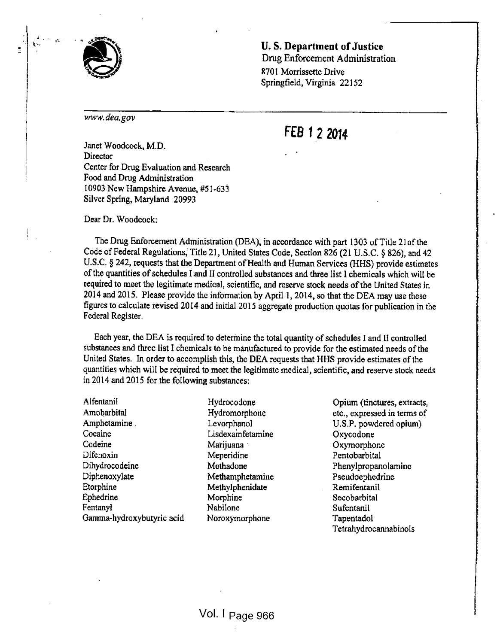

r»

U. S. Department of Justice Drug Enforcement Administration 8701 Morrissette Drive Springfield, Virginia 22152

www.dea.gov

## FEB 1 2 2014

Janet Woodcock, M.D. Director Center for Drug Evaluation and Research Food and Drug Administration 10903 New Hampshire Avenue, #5 1-633 Silver Spring, Maryland 20993

Dear Dr. Woodcock;

The Drug Enforcement Administration (DEA), in accordance with part 1303 of Title 21 of the Code of Federal Regulations, Title <sup>21</sup> , United States Code, Section <sup>826</sup> (21 U.S.C. § 826), and <sup>42</sup> U.S.C. § 242, requests that the Department of Health and Human Services (HHS) provide estimates of the quantities of schedules I and II controlled substances and three list I chemicals which will be required to meet the legitimate medical, scientific, and reserve stock needs ofthe United States in <sup>2014</sup> and 2015. Please provide the information by April 1, 2014, so that the DEA may use these figures to calculate revised <sup>2014</sup> and initial <sup>2015</sup> aggregate production quotas for publication in the Federal Register,

Each year, the DEA is required to determine the total quantity of schedules <sup>I</sup>and II controlled substances and three list <sup>I</sup> chemicals to be manufactured to provide for the estimated needs ofthe United States. In order to accomplish this, the DEA requests that HHS provide estimates of the quantities which will be required to meet the legitimate medical, scientific, and reserve stock needs in 2014 and 2015 for the following substances:

Alfentanil Amobarbital Amphetamine . Cocaine Codeine Difenoxin Dihydrocodeine Diphenoxylate Etorphine Ephedrine Fentanyl Gamma-hydroxybutyric acid

Hydrocodone Hydromorphone Levorphanol Lisdexamfetamine Marijuana · Meperidine Methadone Methamphetamine Methylphenidate Morphine Nabilone Noroxymorphone

Opium (tinctures, extracts, etc., expressed in terms of U.S.P. powdered opium) Oxycodone Oxymorphone Pentobarbital Phenylpropanolamine Pseudoephedrine Remifentanil Secobarbital Sufentanil Tapentadol Tetrahydrocannabinols